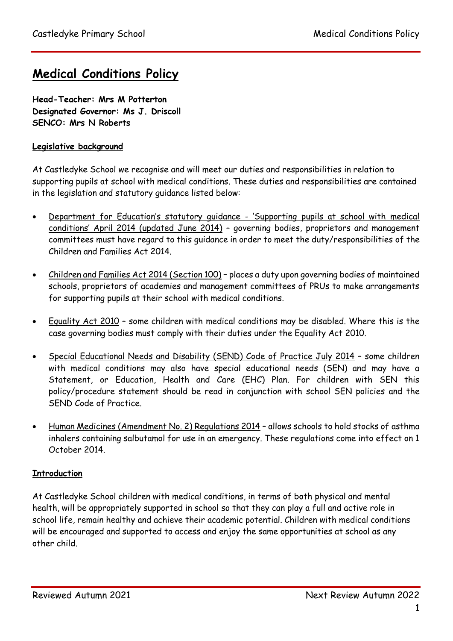# **Medical Conditions Policy**

**Head-Teacher: Mrs M Potterton Designated Governor: Ms J. Driscoll SENCO: Mrs N Roberts**

### **Legislative background**

At Castledyke School we recognise and will meet our duties and responsibilities in relation to supporting pupils at school with medical conditions. These duties and responsibilities are contained in the legislation and statutory guidance listed below:

- Department for Education's statutory guidance 'Supporting pupils at school with medical conditions' April 2014 (updated June 2014) – governing bodies, proprietors and management committees must have regard to this guidance in order to meet the duty/responsibilities of the Children and Families Act 2014.
- Children and Families Act 2014 (Section 100) places a duty upon governing bodies of maintained schools, proprietors of academies and management committees of PRUs to make arrangements for supporting pupils at their school with medical conditions.
- Equality Act 2010 some children with medical conditions may be disabled. Where this is the case governing bodies must comply with their duties under the Equality Act 2010.
- Special Educational Needs and Disability (SEND) Code of Practice July 2014 some children with medical conditions may also have special educational needs (SEN) and may have a Statement, or Education, Health and Care (EHC) Plan. For children with SEN this policy/procedure statement should be read in conjunction with school SEN policies and the SEND Code of Practice.
- Human Medicines (Amendment No. 2) Regulations 2014 allows schools to hold stocks of asthma inhalers containing salbutamol for use in an emergency. These regulations come into effect on 1 October 2014.

#### **Introduction**

At Castledyke School children with medical conditions, in terms of both physical and mental health, will be appropriately supported in school so that they can play a full and active role in school life, remain healthy and achieve their academic potential. Children with medical conditions will be encouraged and supported to access and enjoy the same opportunities at school as any other child.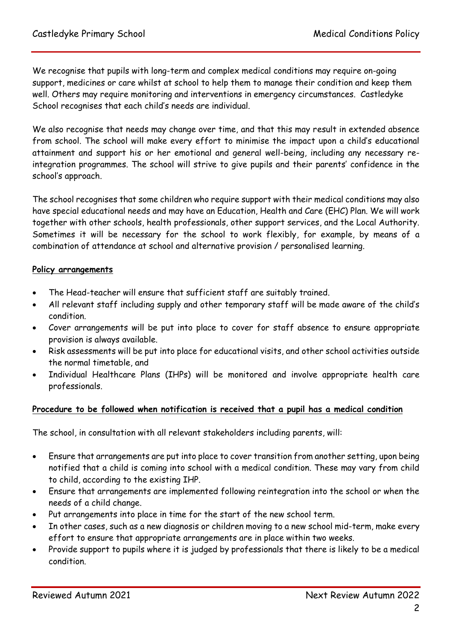We recognise that pupils with long-term and complex medical conditions may require on-going support, medicines or care whilst at school to help them to manage their condition and keep them well. Others may require monitoring and interventions in emergency circumstances. Castledyke School recognises that each child's needs are individual.

We also recognise that needs may change over time, and that this may result in extended absence from school. The school will make every effort to minimise the impact upon a child's educational attainment and support his or her emotional and general well-being, including any necessary reintegration programmes. The school will strive to give pupils and their parents' confidence in the school's approach.

The school recognises that some children who require support with their medical conditions may also have special educational needs and may have an Education, Health and Care (EHC) Plan. We will work together with other schools, health professionals, other support services, and the Local Authority. Sometimes it will be necessary for the school to work flexibly, for example, by means of a combination of attendance at school and alternative provision / personalised learning.

#### **Policy arrangements**

- The Head-teacher will ensure that sufficient staff are suitably trained.
- All relevant staff including supply and other temporary staff will be made aware of the child's condition.
- Cover arrangements will be put into place to cover for staff absence to ensure appropriate provision is always available.
- Risk assessments will be put into place for educational visits, and other school activities outside the normal timetable, and
- Individual Healthcare Plans (IHPs) will be monitored and involve appropriate health care professionals.

#### **Procedure to be followed when notification is received that a pupil has a medical condition**

The school, in consultation with all relevant stakeholders including parents, will:

- Ensure that arrangements are put into place to cover transition from another setting, upon being notified that a child is coming into school with a medical condition. These may vary from child to child, according to the existing IHP.
- Ensure that arrangements are implemented following reintegration into the school or when the needs of a child change.
- Put arrangements into place in time for the start of the new school term.
- In other cases, such as a new diagnosis or children moving to a new school mid-term, make every effort to ensure that appropriate arrangements are in place within two weeks.
- Provide support to pupils where it is judged by professionals that there is likely to be a medical condition.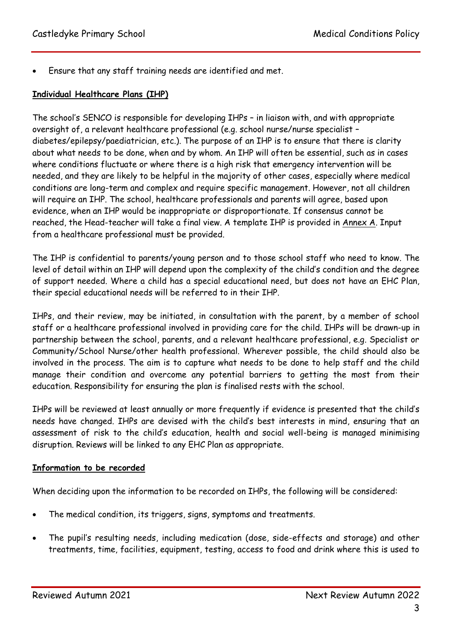Ensure that any staff training needs are identified and met.

#### **Individual Healthcare Plans (IHP)**

The school's SENCO is responsible for developing IHPs – in liaison with, and with appropriate oversight of, a relevant healthcare professional (e.g. school nurse/nurse specialist – diabetes/epilepsy/paediatrician, etc.). The purpose of an IHP is to ensure that there is clarity about what needs to be done, when and by whom. An IHP will often be essential, such as in cases where conditions fluctuate or where there is a high risk that emergency intervention will be needed, and they are likely to be helpful in the majority of other cases, especially where medical conditions are long-term and complex and require specific management. However, not all children will require an IHP. The school, healthcare professionals and parents will agree, based upon evidence, when an IHP would be inappropriate or disproportionate. If consensus cannot be reached, the Head-teacher will take a final view. A template IHP is provided in Annex A. Input from a healthcare professional must be provided.

The IHP is confidential to parents/young person and to those school staff who need to know. The level of detail within an IHP will depend upon the complexity of the child's condition and the degree of support needed. Where a child has a special educational need, but does not have an EHC Plan, their special educational needs will be referred to in their IHP.

IHPs, and their review, may be initiated, in consultation with the parent, by a member of school staff or a healthcare professional involved in providing care for the child. IHPs will be drawn-up in partnership between the school, parents, and a relevant healthcare professional, e.g. Specialist or Community/School Nurse/other health professional. Wherever possible, the child should also be involved in the process. The aim is to capture what needs to be done to help staff and the child manage their condition and overcome any potential barriers to getting the most from their education. Responsibility for ensuring the plan is finalised rests with the school.

IHPs will be reviewed at least annually or more frequently if evidence is presented that the child's needs have changed. IHPs are devised with the child's best interests in mind, ensuring that an assessment of risk to the child's education, health and social well-being is managed minimising disruption. Reviews will be linked to any EHC Plan as appropriate.

#### **Information to be recorded**

When deciding upon the information to be recorded on IHPs, the following will be considered:

- The medical condition, its triggers, signs, symptoms and treatments.
- The pupil's resulting needs, including medication (dose, side-effects and storage) and other treatments, time, facilities, equipment, testing, access to food and drink where this is used to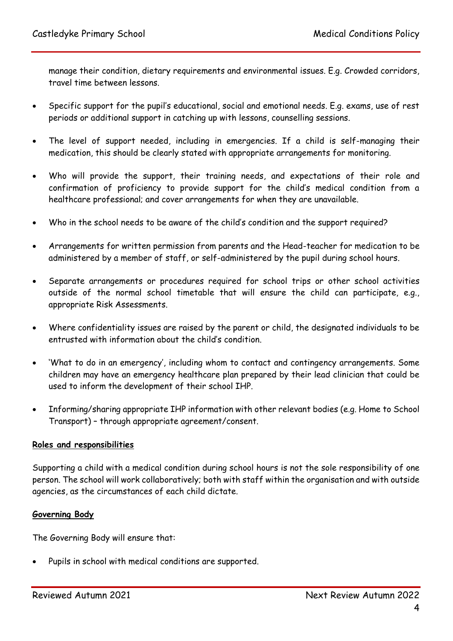manage their condition, dietary requirements and environmental issues. E.g. Crowded corridors, travel time between lessons.

- Specific support for the pupil's educational, social and emotional needs. E.g. exams, use of rest periods or additional support in catching up with lessons, counselling sessions.
- The level of support needed, including in emergencies. If a child is self-managing their medication, this should be clearly stated with appropriate arrangements for monitoring.
- Who will provide the support, their training needs, and expectations of their role and confirmation of proficiency to provide support for the child's medical condition from a healthcare professional; and cover arrangements for when they are unavailable.
- Who in the school needs to be aware of the child's condition and the support required?
- Arrangements for written permission from parents and the Head-teacher for medication to be administered by a member of staff, or self-administered by the pupil during school hours.
- Separate arrangements or procedures required for school trips or other school activities outside of the normal school timetable that will ensure the child can participate, e.g., appropriate Risk Assessments.
- Where confidentiality issues are raised by the parent or child, the designated individuals to be entrusted with information about the child's condition.
- 'What to do in an emergency', including whom to contact and contingency arrangements. Some children may have an emergency healthcare plan prepared by their lead clinician that could be used to inform the development of their school IHP.
- Informing/sharing appropriate IHP information with other relevant bodies (e.g. Home to School Transport) – through appropriate agreement/consent.

#### **Roles and responsibilities**

Supporting a child with a medical condition during school hours is not the sole responsibility of one person. The school will work collaboratively; both with staff within the organisation and with outside agencies, as the circumstances of each child dictate.

#### **Governing Body**

The Governing Body will ensure that:

Pupils in school with medical conditions are supported.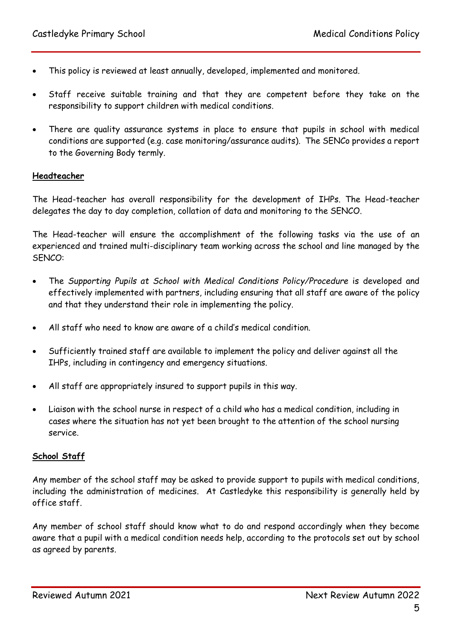- This policy is reviewed at least annually, developed, implemented and monitored.
- Staff receive suitable training and that they are competent before they take on the responsibility to support children with medical conditions.
- There are quality assurance systems in place to ensure that pupils in school with medical conditions are supported (e.g. case monitoring/assurance audits). The SENCo provides a report to the Governing Body termly.

#### **Headteacher**

The Head-teacher has overall responsibility for the development of IHPs. The Head-teacher delegates the day to day completion, collation of data and monitoring to the SENCO.

The Head-teacher will ensure the accomplishment of the following tasks via the use of an experienced and trained multi-disciplinary team working across the school and line managed by the SENCO:

- The *Supporting Pupils at School with Medical Conditions Policy/Procedure* is developed and effectively implemented with partners, including ensuring that all staff are aware of the policy and that they understand their role in implementing the policy.
- All staff who need to know are aware of a child's medical condition.
- Sufficiently trained staff are available to implement the policy and deliver against all the IHPs, including in contingency and emergency situations.
- All staff are appropriately insured to support pupils in this way.
- Liaison with the school nurse in respect of a child who has a medical condition, including in cases where the situation has not yet been brought to the attention of the school nursing service.

#### **School Staff**

Any member of the school staff may be asked to provide support to pupils with medical conditions, including the administration of medicines. At Castledyke this responsibility is generally held by office staff.

Any member of school staff should know what to do and respond accordingly when they become aware that a pupil with a medical condition needs help, according to the protocols set out by school as agreed by parents.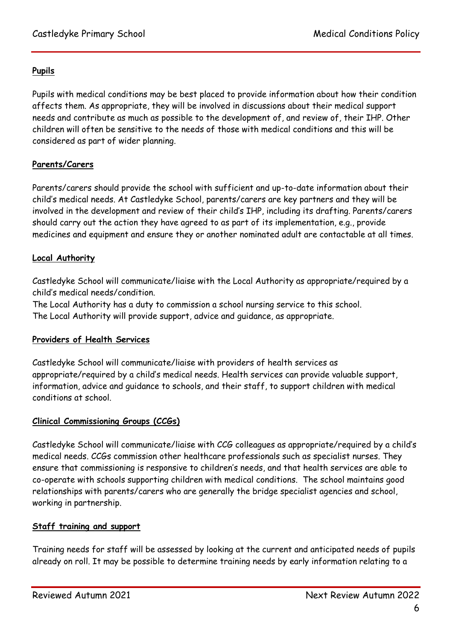# **Pupils**

Pupils with medical conditions may be best placed to provide information about how their condition affects them. As appropriate, they will be involved in discussions about their medical support needs and contribute as much as possible to the development of, and review of, their IHP. Other children will often be sensitive to the needs of those with medical conditions and this will be considered as part of wider planning.

# **Parents/Carers**

Parents/carers should provide the school with sufficient and up-to-date information about their child's medical needs. At Castledyke School, parents/carers are key partners and they will be involved in the development and review of their child's IHP, including its drafting. Parents/carers should carry out the action they have agreed to as part of its implementation, e.g., provide medicines and equipment and ensure they or another nominated adult are contactable at all times.

# **Local Authority**

Castledyke School will communicate/liaise with the Local Authority as appropriate/required by a child's medical needs/condition.

The Local Authority has a duty to commission a school nursing service to this school. The Local Authority will provide support, advice and guidance, as appropriate.

#### **Providers of Health Services**

Castledyke School will communicate/liaise with providers of health services as appropriate/required by a child's medical needs. Health services can provide valuable support, information, advice and guidance to schools, and their staff, to support children with medical conditions at school.

# **Clinical Commissioning Groups (CCGs)**

Castledyke School will communicate/liaise with CCG colleagues as appropriate/required by a child's medical needs. CCGs commission other healthcare professionals such as specialist nurses. They ensure that commissioning is responsive to children's needs, and that health services are able to co-operate with schools supporting children with medical conditions. The school maintains good relationships with parents/carers who are generally the bridge specialist agencies and school, working in partnership.

#### **Staff training and support**

Training needs for staff will be assessed by looking at the current and anticipated needs of pupils already on roll. It may be possible to determine training needs by early information relating to a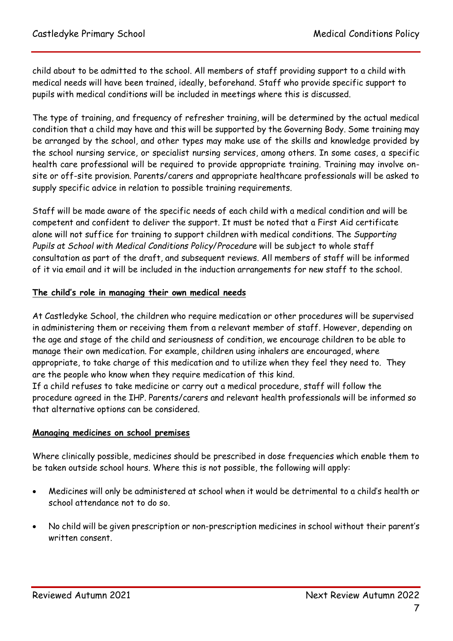child about to be admitted to the school. All members of staff providing support to a child with medical needs will have been trained, ideally, beforehand. Staff who provide specific support to pupils with medical conditions will be included in meetings where this is discussed.

The type of training, and frequency of refresher training, will be determined by the actual medical condition that a child may have and this will be supported by the Governing Body. Some training may be arranged by the school, and other types may make use of the skills and knowledge provided by the school nursing service, or specialist nursing services, among others. In some cases, a specific health care professional will be required to provide appropriate training. Training may involve onsite or off-site provision. Parents/carers and appropriate healthcare professionals will be asked to supply specific advice in relation to possible training requirements.

Staff will be made aware of the specific needs of each child with a medical condition and will be competent and confident to deliver the support. It must be noted that a First Aid certificate alone will not suffice for training to support children with medical conditions. The *Supporting Pupils at School with Medical Conditions Policy*/*Procedure* will be subject to whole staff consultation as part of the draft, and subsequent reviews. All members of staff will be informed of it via email and it will be included in the induction arrangements for new staff to the school.

#### **The child's role in managing their own medical needs**

At Castledyke School, the children who require medication or other procedures will be supervised in administering them or receiving them from a relevant member of staff. However, depending on the age and stage of the child and seriousness of condition, we encourage children to be able to manage their own medication. For example, children using inhalers are encouraged, where appropriate, to take charge of this medication and to utilize when they feel they need to. They are the people who know when they require medication of this kind.

If a child refuses to take medicine or carry out a medical procedure, staff will follow the procedure agreed in the IHP. Parents/carers and relevant health professionals will be informed so that alternative options can be considered.

#### **Managing medicines on school premises**

Where clinically possible, medicines should be prescribed in dose frequencies which enable them to be taken outside school hours. Where this is not possible, the following will apply:

- Medicines will only be administered at school when it would be detrimental to a child's health or school attendance not to do so.
- No child will be given prescription or non-prescription medicines in school without their parent's written consent.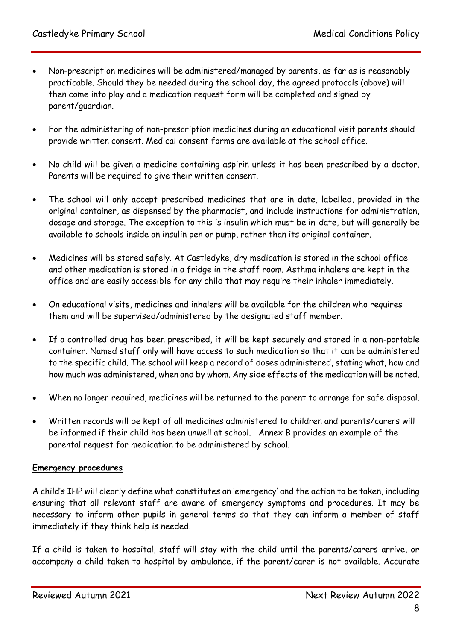- Non-prescription medicines will be administered/managed by parents, as far as is reasonably practicable. Should they be needed during the school day, the agreed protocols (above) will then come into play and a medication request form will be completed and signed by parent/guardian.
- For the administering of non-prescription medicines during an educational visit parents should provide written consent. Medical consent forms are available at the school office.
- No child will be given a medicine containing aspirin unless it has been prescribed by a doctor. Parents will be required to give their written consent.
- The school will only accept prescribed medicines that are in-date, labelled, provided in the original container, as dispensed by the pharmacist, and include instructions for administration, dosage and storage. The exception to this is insulin which must be in-date, but will generally be available to schools inside an insulin pen or pump, rather than its original container.
- Medicines will be stored safely. At Castledyke, dry medication is stored in the school office and other medication is stored in a fridge in the staff room. Asthma inhalers are kept in the office and are easily accessible for any child that may require their inhaler immediately.
- On educational visits, medicines and inhalers will be available for the children who requires them and will be supervised/administered by the designated staff member.
- If a controlled drug has been prescribed, it will be kept securely and stored in a non-portable container. Named staff only will have access to such medication so that it can be administered to the specific child. The school will keep a record of doses administered, stating what, how and how much was administered, when and by whom. Any side effects of the medication will be noted.
- When no longer required, medicines will be returned to the parent to arrange for safe disposal.
- Written records will be kept of all medicines administered to children and parents/carers will be informed if their child has been unwell at school. Annex B provides an example of the parental request for medication to be administered by school.

#### **Emergency procedures**

A child's IHP will clearly define what constitutes an 'emergency' and the action to be taken, including ensuring that all relevant staff are aware of emergency symptoms and procedures. It may be necessary to inform other pupils in general terms so that they can inform a member of staff immediately if they think help is needed.

If a child is taken to hospital, staff will stay with the child until the parents/carers arrive, or accompany a child taken to hospital by ambulance, if the parent/carer is not available. Accurate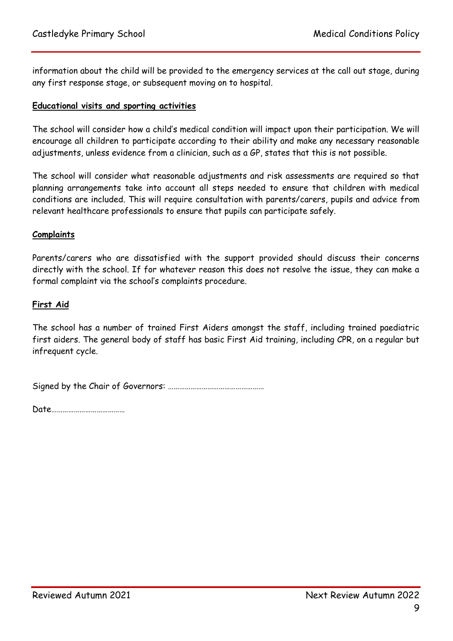information about the child will be provided to the emergency services at the call out stage, during any first response stage, or subsequent moving on to hospital.

#### **Educational visits and sporting activities**

The school will consider how a child's medical condition will impact upon their participation. We will encourage all children to participate according to their ability and make any necessary reasonable adjustments, unless evidence from a clinician, such as a GP, states that this is not possible.

The school will consider what reasonable adjustments and risk assessments are required so that planning arrangements take into account all steps needed to ensure that children with medical conditions are included. This will require consultation with parents/carers, pupils and advice from relevant healthcare professionals to ensure that pupils can participate safely.

#### **Complaints**

Parents/carers who are dissatisfied with the support provided should discuss their concerns directly with the school. If for whatever reason this does not resolve the issue, they can make a formal complaint via the school's complaints procedure.

#### **First Aid**

The school has a number of trained First Aiders amongst the staff, including trained paediatric first aiders. The general body of staff has basic First Aid training, including CPR, on a regular but infrequent cycle.

Signed by the Chair of Governors: ……………………………………………

Date…………………………………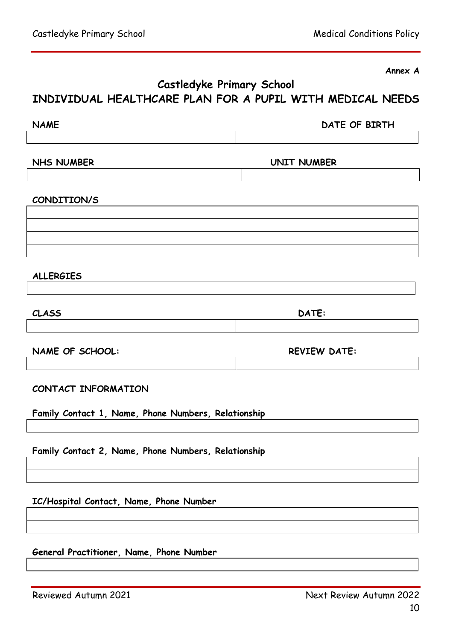**Annex A**

# **Castledyke Primary School INDIVIDUAL HEALTHCARE PLAN FOR A PUPIL WITH MEDICAL NEEDS**

NAME DATE OF BIRTH

**NHS NUMBER UNIT NUMBER**

#### **CONDITION/S**

**ALLERGIES** 

| <b>CLASS</b> | DATE: |  |  |
|--------------|-------|--|--|
|              |       |  |  |

NAME OF SCHOOL: REVIEW DATE:

**CONTACT INFORMATION**

**Family Contact 1, Name, Phone Numbers, Relationship**

**Family Contact 2, Name, Phone Numbers, Relationship**

**IC/Hospital Contact, Name, Phone Number**

**General Practitioner, Name, Phone Number**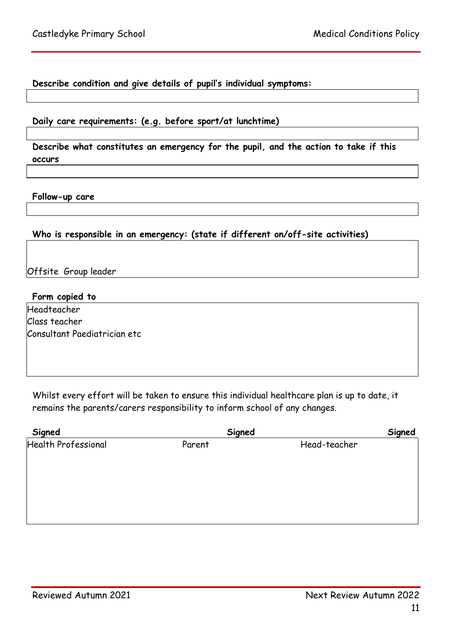#### **Describe condition and give details of pupil's individual symptoms:**

#### **Daily care requirements: (e.g. before sport/at lunchtime)**

**Describe what constitutes an emergency for the pupil, and the action to take if this occurs**

**Follow-up care**

#### **Who is responsible in an emergency: (state if different on/off-site activities)**

Offsite Group leader

#### **Form copied to**

Headteacher Class teacher Consultant Paediatrician etc

Whilst every effort will be taken to ensure this individual healthcare plan is up to date, it remains the parents/carers responsibility to inform school of any changes.

| Signed              | Signed | Signed       |
|---------------------|--------|--------------|
| Health Professional | Parent | Head-teacher |
|                     |        |              |
|                     |        |              |
|                     |        |              |
|                     |        |              |
|                     |        |              |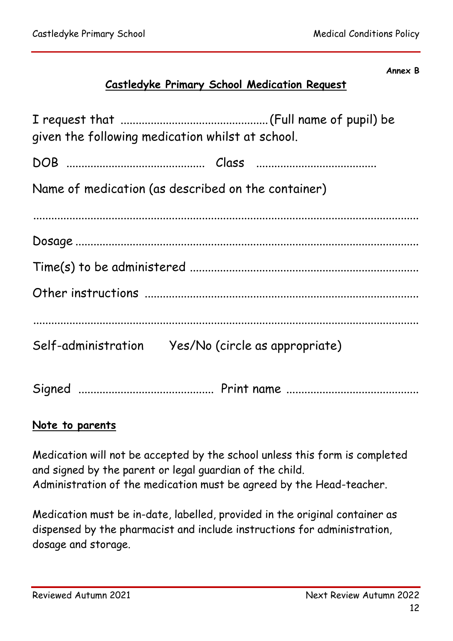#### **Annex B**

# **Castledyke Primary School Medication Request**

| given the following medication whilst at school.    |
|-----------------------------------------------------|
|                                                     |
| Name of medication (as described on the container)  |
|                                                     |
|                                                     |
|                                                     |
|                                                     |
|                                                     |
| Self-administration  Yes/No (circle as appropriate) |
|                                                     |

# **Note to parents**

Medication will not be accepted by the school unless this form is completed and signed by the parent or legal guardian of the child. Administration of the medication must be agreed by the Head-teacher.

Medication must be in-date, labelled, provided in the original container as dispensed by the pharmacist and include instructions for administration, dosage and storage.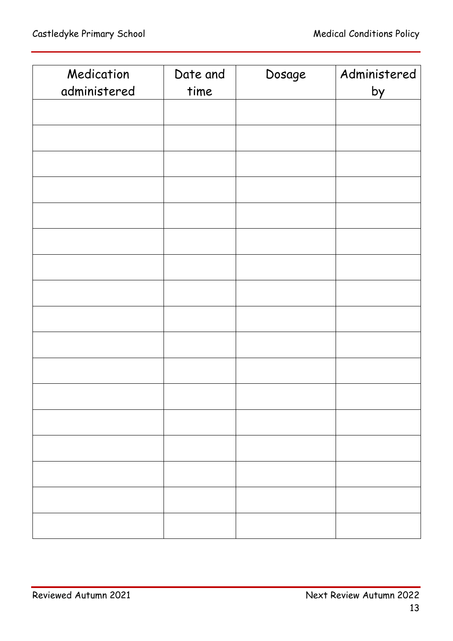| Medication   | Date and | Dosage | Administered |
|--------------|----------|--------|--------------|
| administered | time     |        | by           |
|              |          |        |              |
|              |          |        |              |
|              |          |        |              |
|              |          |        |              |
|              |          |        |              |
|              |          |        |              |
|              |          |        |              |
|              |          |        |              |
|              |          |        |              |
|              |          |        |              |
|              |          |        |              |
|              |          |        |              |
|              |          |        |              |
|              |          |        |              |
|              |          |        |              |
|              |          |        |              |
|              |          |        |              |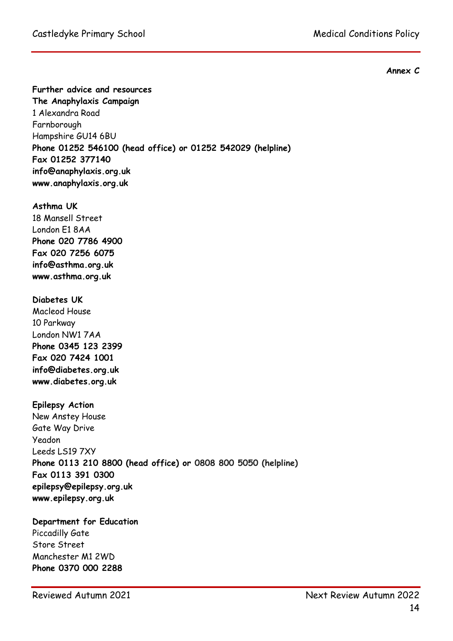**Annex C**

**Further advice and resources**

**The Anaphylaxis Campaign** 1 Alexandra Road Farnborough Hampshire GU14 6BU **Phone 01252 546100 (head office) or 01252 542029 (helpline) Fax 01252 377140 info@anaphylaxis.org.uk www.anaphylaxis.org.uk**

#### **Asthma UK**

18 Mansell Street London E1 8AA **Phone 020 7786 4900 Fax 020 7256 6075 info@asthma.org.uk www.asthma.org.uk**

#### **Diabetes UK**

Macleod House 10 Parkway London NW1 7AA **Phone 0345 123 2399 Fax 020 7424 1001 info@diabetes.org.uk [www.diabetes.org.uk](http://www.diabetes.org.uk/)**

#### **Epilepsy Action**

New Anstey House Gate Way Drive Yeadon Leeds LS19 7XY **Phone 0113 210 8800 (head office) or 0808 800 5050 (helpline) Fax 0113 391 0300 epilepsy@epilepsy.org.uk www.epilepsy.org.uk**

#### **Department for Education** Piccadilly Gate Store Street Manchester M1 2WD

**Phone 0370 000 2288**